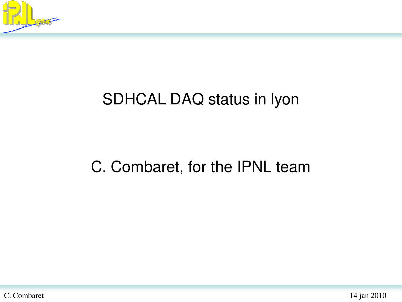

## SDHCAL DAQ status in lyon

#### C. Combaret, for the IPNL team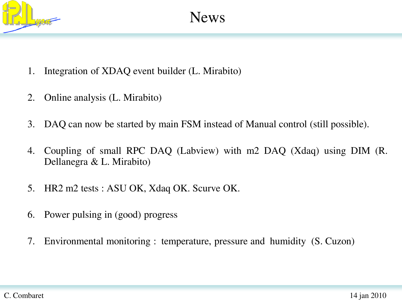

- 1. Integration of XDAQ event builder (L. Mirabito)
- 2. Online analysis (L. Mirabito)
- 3. DAQ can now be started by main FSM instead of Manual control (still possible).
- 4. Coupling of small RPC DAQ (Labview) with m2 DAQ (Xdaq) using DIM (R. Dellanegra & L. Mirabito)
- 5. HR2 m2 tests : ASU OK, Xdaq OK. Scurve OK.
- 6. Power pulsing in (good) progress
- 7. Environmental monitoring : temperature, pressure and humidity (S. Cuzon)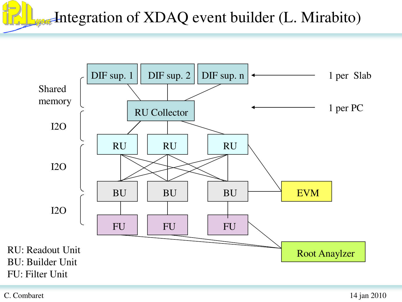Integration of XDAQ event builder (L. Mirabito)



C. Combaret 14 jan 2010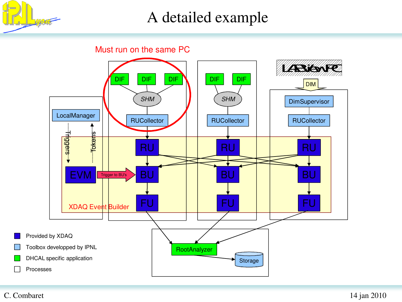

#### A detailed example

Must run on the same PC



#### C. Combaret 14 jan 2010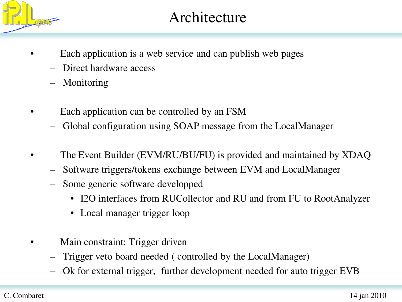

#### Architecture

- Each application is a web service and can publish web pages
	- Direct hardware access
	- **Monitoring**
- Each application can be controlled by an FSM
	- Global configuration using SOAP message from the LocalManager
- The Event Builder (EVM/RU/BU/FU) is provided and maintained by XDAQ
	- Software triggers/tokens exchange between EVM and LocalManager
	- Some generic software developped
		- I2O interfaces from RUCollector and RU and from FU to RootAnalyzer
		- Local manager trigger loop
- Main constraint: Trigger driven
	- Trigger veto board needed ( controlled by the LocalManager)
	- Ok for external trigger, further development needed for auto trigger EVB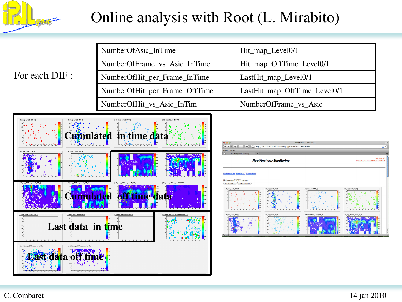

### Online analysis with Root (L. Mirabito)

#### For each DIF :

| NumberOfAsic_InTime           | Hit_map_Level0/1             |
|-------------------------------|------------------------------|
| NumberOfFrame_vs_Asic_InTime  | Hit_map_OffTime_Level0/1     |
| NumberOfHit_per_Frame_InTime  | LastHit_map_Level0/1         |
| NumberOfHit_per_Frame_OffTime | LastHit_map_OffTime_Level0/1 |
| NumberOfHit_vs_Asic_InTim     | NumberOfFrame_vs_Asic        |



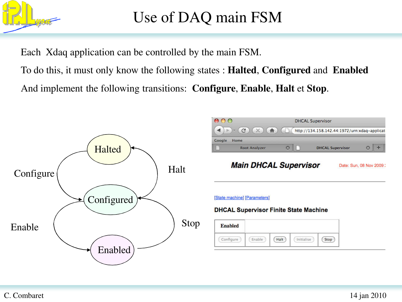

## Use of DAQ main FSM

Each Xdaq application can be controlled by the main FSM.

To do this, it must only know the following states : **Halted**, **Configured** and **Enabled** And implement the following transitions: **Configure**, **Enable**, **Halt** et **Stop**.



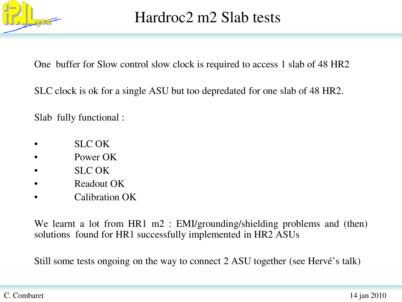

#### Hardroc2 m2 Slab tests

One buffer for Slow control slow clock is required to access 1 slab of 48 HR2

SLC clock is ok for a single ASU but too depredated for one slab of 48 HR2.

Slab fully functional :

- SLC OK
- Power OK
- SLC OK
- Readout OK
- Calibration OK

We learnt a lot from HR1 m2 : EMI/grounding/shielding problems and (then) solutions found for HR1 successfully implemented in HR2 ASUs

Still some tests ongoing on the way to connect 2 ASU together (see Hervé's talk)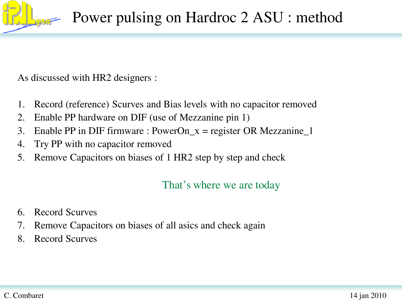

As discussed with HR2 designers :

- 1. Record (reference) Scurves and Bias levels with no capacitor removed
- 2. Enable PP hardware on DIF (use of Mezzanine pin 1)
- 3. Enable PP in DIF firmware : PowerOn\_x = register OR Mezzanine\_1
- 4. Try PP with no capacitor removed
- 5. Remove Capacitors on biases of 1 HR2 step by step and check

#### That's where we are today

- 6. Record Scurves
- 7. Remove Capacitors on biases of all asics and check again
- 8. Record Scurves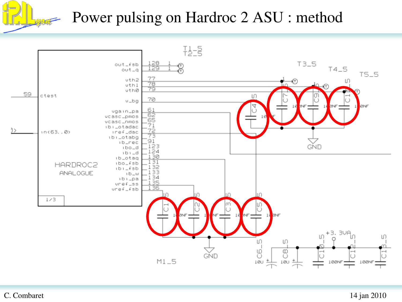

#### Power pulsing on Hardroc 2 ASU : method

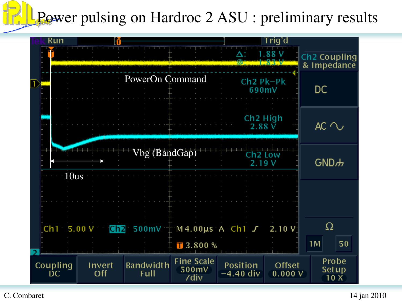# Power pulsing on Hardroc 2 ASU : preliminary results

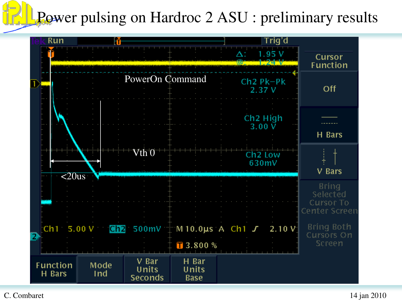# Power pulsing on Hardroc 2 ASU : preliminary results

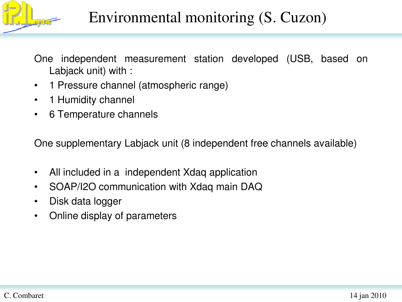

## Environmental monitoring (S. Cuzon)

One independent measurement station developed (USB, based on Labjack unit) with :

- 1 Pressure channel (atmospheric range)
- 1 Humidity channel
- 6 Temperature channels

One supplementary Labjack unit (8 independent free channels available)

- All included in a independent Xdaq application
- SOAP/I2O communication with Xdaq main DAQ
- Disk data logger
- Online display of parameters